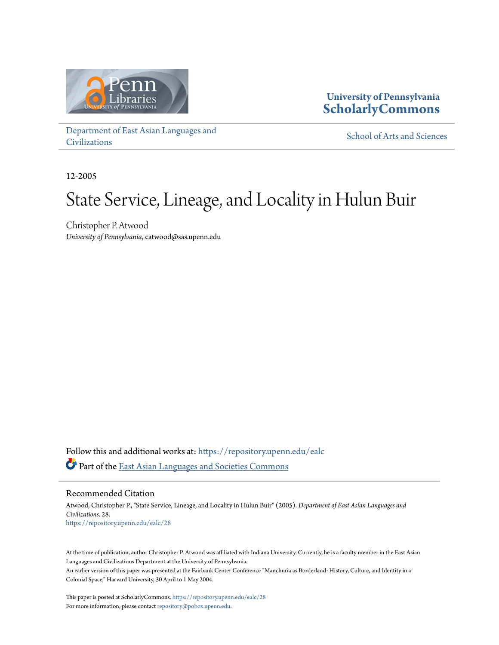

# **University of Pennsylvania [ScholarlyCommons](https://repository.upenn.edu?utm_source=repository.upenn.edu%2Fealc%2F28&utm_medium=PDF&utm_campaign=PDFCoverPages)**

[Department of East Asian Languages and](https://repository.upenn.edu/ealc?utm_source=repository.upenn.edu%2Fealc%2F28&utm_medium=PDF&utm_campaign=PDFCoverPages) [Civilizations](https://repository.upenn.edu/ealc?utm_source=repository.upenn.edu%2Fealc%2F28&utm_medium=PDF&utm_campaign=PDFCoverPages)

[School of Arts and Sciences](https://repository.upenn.edu/sas?utm_source=repository.upenn.edu%2Fealc%2F28&utm_medium=PDF&utm_campaign=PDFCoverPages)

12-2005

# State Service, Lineage, and Locality in Hulun Buir

Christopher P. Atwood *University of Pennsylvania*, catwood@sas.upenn.edu

Follow this and additional works at: [https://repository.upenn.edu/ealc](https://repository.upenn.edu/ealc?utm_source=repository.upenn.edu%2Fealc%2F28&utm_medium=PDF&utm_campaign=PDFCoverPages) Part of the [East Asian Languages and Societies Commons](http://network.bepress.com/hgg/discipline/481?utm_source=repository.upenn.edu%2Fealc%2F28&utm_medium=PDF&utm_campaign=PDFCoverPages)

Recommended Citation

Atwood, Christopher P., "State Service, Lineage, and Locality in Hulun Buir" (2005). *Department of East Asian Languages and Civilizations*. 28. [https://repository.upenn.edu/ealc/28](https://repository.upenn.edu/ealc/28?utm_source=repository.upenn.edu%2Fealc%2F28&utm_medium=PDF&utm_campaign=PDFCoverPages)

At the time of publication, author Christopher P. Atwood was affiliated with Indiana University. Currently, he is a faculty member in the East Asian Languages and Civilizations Department at the University of Pennsylvania.

An earlier version of this paper was presented at the Fairbank Center Conference "Manchuria as Borderland: History, Culture, and Identity in a Colonial Space," Harvard University, 30 April to 1 May 2004.

This paper is posted at ScholarlyCommons. <https://repository.upenn.edu/ealc/28> For more information, please contact [repository@pobox.upenn.edu.](mailto:repository@pobox.upenn.edu)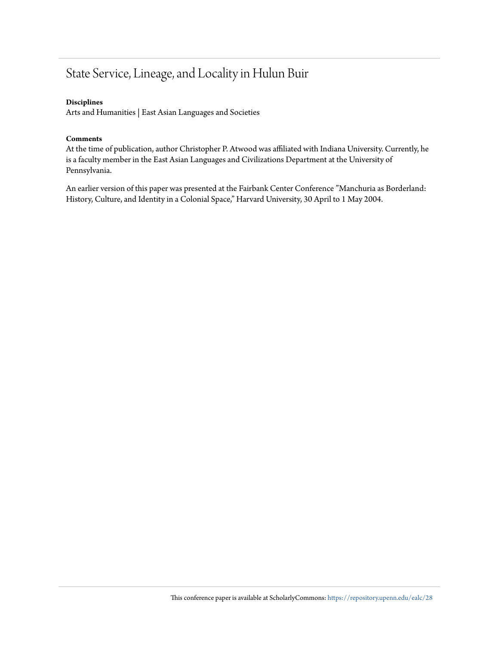# State Service, Lineage, and Locality in Hulun Buir

# **Disciplines**

Arts and Humanities | East Asian Languages and Societies

## **Comments**

At the time of publication, author Christopher P. Atwood was affiliated with Indiana University. Currently, he is a faculty member in the East Asian Languages and Civilizations Department at the University of Pennsylvania.

An earlier version of this paper was presented at the Fairbank Center Conference "Manchuria as Borderland: History, Culture, and Identity in a Colonial Space," Harvard University, 30 April to 1 May 2004.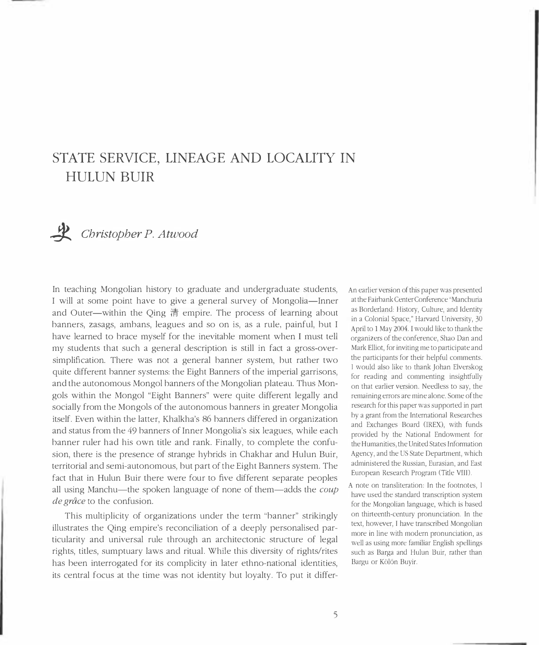# STATE SERVICE, LINEAGE AND LOCALITY IN **HULUN BUIR**



 $\mathcal{L}$  Christopher P. Atwood

In teaching Mongolian history to graduate and undergraduate students, I will at some point have to give a general survey of Mongolia-Inner and Outer—within the Qing 清 empire. The process of learning about banners, zasags, ambans, leagues and so on is, as a rule, painful, but I have learned to brace myself for the inevitable moment when I must tell my students that such a general description is still in fact a gross-oversimplification. There was not a general banner system, but rather two quite different banner systems: the Eight Banners of the imperial garrisons, and the autonomous Mongol banners of the Mongolian plateau. Thus Mongols within the Mongol "Eight Banners" were quite different legally and socially from the Mongols of the autonomous banners in greater Mongolia itself. Even within the latter, Khalkha's 86 banners differed in organization and status from the 49 banners of Inner Mongolia's six leagues, while each banner ruler had his own title and rank. Finally, to complete the confusion, there is the presence of strange hybrids in Chakhar and Hulun Buir, territorial and semi-autonomous, but part of the Eight Banners system. The fact that in Hulun Buir there were four to five different separate peoples all using Manchu-the spoken language of none of them-adds the coup de grâce to the confusion.

This multiplicity of organizations under the term "banner" strikingly illustrates the Qing empire's reconciliation of a deeply personalised particularity and universal rule through an architectonic structure of legal rights, titles, sumptuary laws and ritual. While this diversity of rights/rites has been interrogated for its complicity in later ethno-national identities, its central focus at the time was not identity but loyalty. To put it differAn earlier version of this paper was presented at the Fairbank Center Conference "Manchuria as Borderland: History, Culture, and Identity in a Colonial Space," Harvard University, 30 April to 1 May 2004. I would like to thank the organizers of the conference, Shao Dan and Mark Elliot, for inviting me to participate and the participants for their helpful comments. I would also like to thank Johan Elverskog for reading and commenting insightfully on that earlier version. Needless to say, the remaining errors are mine alone. Some of the research for this paper was supported in part by a grant from the International Researches and Exchanges Board (IREX), with funds provided by the National Endowment for the Humanities, the United States Information Agency, and the US State Department, which administered the Russian, Eurasian, and East European Research Program (Title VIII).

A note on transliteration: In the footnotes, 1 have used the standard transcription system for the Mongolian language, which is based on thirteenth-century pronunciation. In the text, however, I have transcribed Mongolian more in line with modern pronunciation, as well as using more familiar English spellings such as Barga and Hulun Buir, rather than Bargu or Kölön Buyir.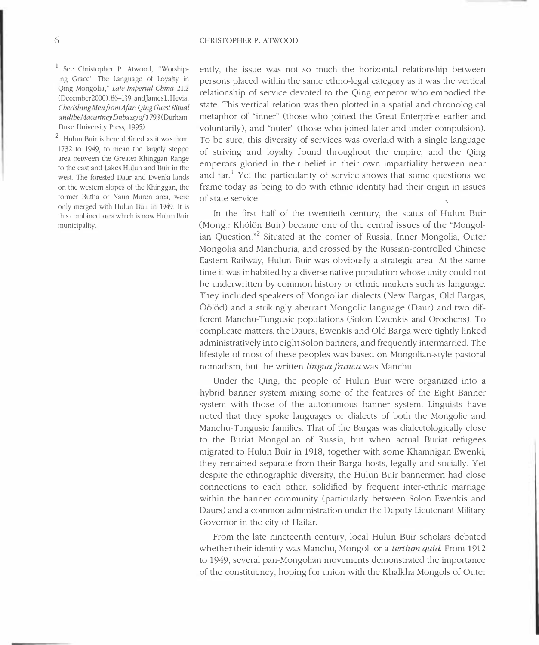<sup>1</sup> See Christopher P. Atwood, "Worshiping Grace': The Language of Loyalty in Qing Mongolia," Late Imperial China 21.2 (December 2000): 86-139, and James L. Hevia, Cherishing Men from Afar: Qing Guest Ritual andtheMacartneyEmbassyof1793(Durham: Duke University Press, 1995).

<sup>2</sup> Hulun Buir is here defined as it was from 1732 to 1949, to mean the largely steppe area between the Greater Khinggan Range to the east and Lakes Hulun and Buir in the west. The forested Daur and Ewenki lands on the western slopes of the Khinggan, the former Butha or Naun Muren area, were only merged with Hulun Buir in 1949. It is this combined area which is now Hulun Buir municipality.

ently, the issue was not so much the horizontal relationship between persons placed within the same ethno-legal category as it was the vertical relationship of service devoted to the Qing emperor who embodied the state. This vertical relation was then plotted in a spatial and chronological metaphor of "inner" (those who joined the Great Enterprise earlier and voluntarily), and "outer" (those who joined later and under compulsion). To be sure, this diversity of services was overlaid with a single language of striving and loyalty found throughout the empire, and the Qing emperors gloried in their belief in their own impartiality between near and far.<sup>1</sup> Yet the particularity of service shows that some questions we frame today as being to do with ethnic identity had their origin in issues of state service.

In the first half of the twentieth century, the status of Hulun Buir (Mong.: Khölön Buir) became one of the central issues of the "Mongolian Question."<sup>2</sup> Situated at the corner of Russia, Inner Mongolia, Outer Mongolia and Manchuria, and crossed by the Russian-controlled Chinese Eastern Railway, Hulun Buir was obviously a strategic area. At the same time it was inhabited by a diverse native population whose unity could not be underwritten by common history or ethnic markers such as language. They included speakers of Mongolian dialects (New Bargas, Old Bargas, Öölöd) and a strikingly aberrant Mongolic language (Daur) and two different Manchu-Tungusic populations (Solon Ewenkis and Orochens). To complicate matters, the Daurs, Ewenkis and Old Barga were tightly linked administratively into eight Solon banners, and frequently intermarried. The lifestyle of most of these peoples was based on Mongolian-style pastoral nomadism, but the written lingua franca was Manchu.

Under the Oing, the people of Hulun Buir were organized into a hybrid banner system mixing some of the features of the Eight Banner system with those of the autonomous banner system. Linguists have noted that they spoke languages or dialects of both the Mongolic and Manchu-Tungusic families. That of the Bargas was dialectologically close to the Buriat Mongolian of Russia, but when actual Buriat refugees migrated to Hulun Buir in 1918, together with some Khamnigan Ewenki, they remained separate from their Barga hosts, legally and socially. Yet despite the ethnographic diversity, the Hulun Buir bannermen had close connections to each other, solidified by frequent inter-ethnic marriage within the banner community (particularly between Solon Ewenkis and Daurs) and a common administration under the Deputy Lieutenant Military Governor in the city of Hailar.

From the late nineteenth century, local Hulun Buir scholars debated whether their identity was Manchu, Mongol, or a *tertium quid*. From 1912 to 1949, several pan-Mongolian movements demonstrated the importance of the constituency, hoping for union with the Khalkha Mongols of Outer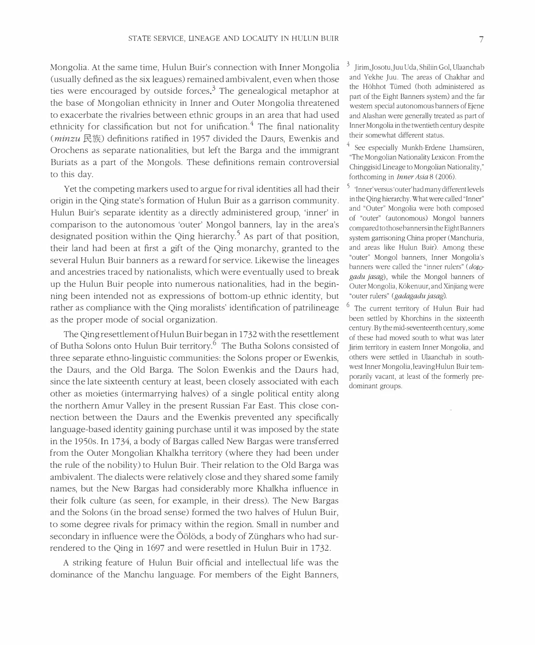Mongolia. At the same time, Hulun Buir's connection with Inner Mongolia (usually defined as the six leagues) remained ambivalent, even when those ties were encouraged by outside forces.<sup>3</sup> The genealogical metaphor at the base of Mongolian ethnicity in Inner and Outer Mongolia threatened to exacerbate the rivalries between ethnic groups in an area that had used ethnicity for classification but not for unification.<sup>4</sup> The final nationality  $(minzu \R$ 族) definitions ratified in 1957 divided the Daurs, Ewenkis and Orochens as separate nationalities, but left the Barga and the immigrant Buriats as a part of the Mongols. These definitions remain controversial to this day.

Yet the competing markers used to argue for rival identities all had their origin in the Qing state's formation of Hulun Buir as a garrison community. Hulun Buir's separate identity as a directly administered group, 'inner' in comparison to the autonomous 'outer' Mongol banners, lay in the area's designated position within the Qing hierarchy.<sup>5</sup> As part of that position, their land had been at first a gift of the Qing monarchy, granted to the several Hulun Buir banners as a reward for service. Likewise the lineages and ancestries traced by nationalists, which were eventually used to breakup the Hulun Buir people into numerous nationalities, had in the beginning been intended not as expressions of bottom-up ethnic identity, but rather as compliance with the Qing moralists' identification of patrilineage as the proper mode of social organization.

The Qing resettlement of Hulun Buir began in 1732 with the resettlement of Butha Solons onto Hulun Buir territory.<sup>6</sup> The Butha Solons consisted of three separate ethno-linguistic communities: the Solons proper or Ewenkis, the Daurs, and the Old Barga. The Solon Ewenkis and the Daurs had, since the late sixteenth century at least, been closely associated with each other as moieties (intermarrying halves) of a single political entity along the northern Amur Valley in the present Russian Far East. This close connection between the Daurs and the Ewenkis prevented any specifically language-based identity gaining purchase until it was imposed by the state in the 1950s. In 1734, a body of Bargas called New Bargas were transferred from the Outer Mongolian Khalkha territory (where they had been under the rule of the nobility) to Hulun Buir. Their relation to the Old Barga was ambivalent. The dialects were relatively close and they shared some family names, but the New Bargas had considerably more Khalkha influence in their folk culture (as seen, for example, in their dress). The New Bargas and the Solons (in the broad sense) formed the two halves of Hulun Buir, to some degree rivals for primacy within the region. Small in number and secondary in influence were the Öölöds, a body of Zünghars who had surrendered to the Qing in 1697 and were resettled in Hulun Buir in 1732.

A striking feature of Hulun Buir official and intellectual life was the dominance of the Manchu language. For members of the Eight Banners,

Jirim, Josotu, Juu Uda, Shiliin Gol, Ulaanchab and Yekhe Juu. The areas of Chakhar and the Höhhot Tümed (both administered as part of the Eight Banners system) and the far western special autonomous banners of Ejene and Alashan were generally treated as part of Inner Mongolia in the twentieth century despite their somewhat different status.

 $4$  See especially Munkh-Erdene Lhamsüren, "The Mongolian Nationality Lexicon: From the Chinggisid Lineage to Mongolian Nationality," forthcoming in *Inner Asia* 8 (2006).

Inner' versus 'outer' had many different levels in the Qing hierarchy. What were called "Inner" and "Outer" Mongolia were both composed of "outer" (autonomous) Mongol banners compared to those banners in the Eight Banners system garrisoning China proper (Manchuria, and areas like Hulun Buir). Among these "outer" Mongol banners, Inner Mongolia's banners were called the "inner rulers" (*doto*gadu jasag), while the Mongol banners of Outer Mongolia, Kökenuur, and Xinjiang were "outer rulers" (*gadagadu jasag*).

<sup>o</sup> The current territory of Hulun Buir had been settled by Khorchins in the sixteenth century. By the mid-seventeenth century, some of these had moved south to what was later Jirim territory in eastern Inner Mongolia, and others were settled in Ulaanchab in southwest Inner Mongolia, leaving Hulun Buir temporarily vacant, at least of the formerly predominant groups.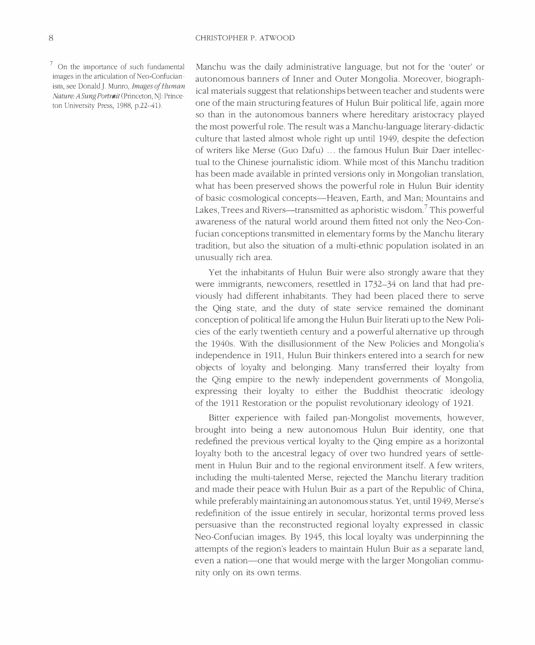<sup>7</sup> On the importance of such fundamental images in the articulation of Neo-Confucianism, see Donald J. Munro, Images of Human Nature: A Sung Portrait (Princeton, NJ: Princeton University Press, 1988, p.22-41).

Manchu was the daily administrative language, but not for the 'outer' or autonomous banners of Inner and Outer Mongolia. Moreover, biographical materials suggest that relationships between teacher and students were one of the main structuring features of Hulun Buir political life, again more so than in the autonomous banners where hereditary aristocracy played the most powerful role. The result was a Manchu-language literary-didactic culture that lasted almost whole right up until 1949, despite the defection of writers like Merse (Guo Dafu) ... the famous Hulun Buir Daer intellectual to the Chinese journalistic idiom. While most of this Manchu tradition has been made available in printed versions only in Mongolian translation, what has been preserved shows the powerful role in Hulun Buir identity of basic cosmological concepts-Heaven, Earth, and Man; Mountains and Lakes, Trees and Rivers—transmitted as aphoristic wisdom.<sup>7</sup> This powerful awareness of the natural world around them fitted not only the Neo-Confucian conceptions transmitted in elementary forms by the Manchu literary tradition, but also the situation of a multi-ethnic population isolated in an unusually rich area.

Yet the inhabitants of Hulun Buir were also strongly aware that they were immigrants, newcomers, resettled in 1732–34 on land that had previously had different inhabitants. They had been placed there to serve the Qing state, and the duty of state service remained the dominant conception of political life among the Hulun Buir literati up to the New Policies of the early twentieth century and a powerful alternative up through the 1940s. With the disillusionment of the New Policies and Mongolia's independence in 1911, Hulun Buir thinkers entered into a search for new objects of loyalty and belonging. Many transferred their loyalty from the Qing empire to the newly independent governments of Mongolia, expressing their loyalty to either the Buddhist theocratic ideology of the 1911 Restoration or the populist revolutionary ideology of 1921.

Bitter experience with failed pan-Mongolist movements, however, brought into being a new autonomous Hulun Buir identity, one that redefined the previous vertical loyalty to the Oing empire as a horizontal loyalty both to the ancestral legacy of over two hundred years of settlement in Hulun Buir and to the regional environment itself. A few writers, including the multi-talented Merse, rejected the Manchu literary tradition and made their peace with Hulun Buir as a part of the Republic of China, while preferably maintaining an autonomous status. Yet, until 1949, Merse's redefinition of the issue entirely in secular, horizontal terms proved less persuasive than the reconstructed regional loyalty expressed in classic Neo-Confucian images. By 1945, this local loyalty was underpinning the attempts of the region's leaders to maintain Hulun Buir as a separate land, even a nation—one that would merge with the larger Mongolian community only on its own terms.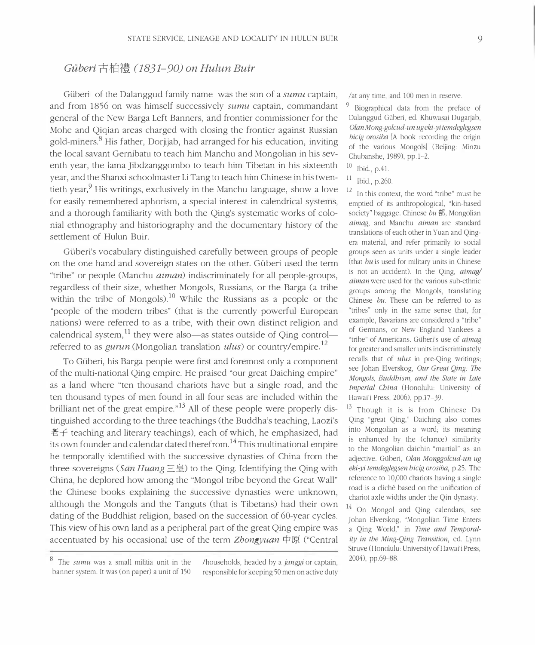## Güberi 古柏禮 (1831–90) on Hulun Buir

Güberi of the Dalanggud family name was the son of a *sumu* captain, and from 1856 on was himself successively *sumu* captain, commandant general of the New Barga Left Banners, and frontier commissioner for the Mohe and Qiqian areas charged with closing the frontier against Russian gold-miners.<sup>8</sup> His father, Dorjijab, had arranged for his education, inviting the local savant Gernibatu to teach him Manchu and Mongolian in his seventh year, the lama Jibdzanggombo to teach him Tibetan in his sixteenth year, and the Shanxi schoolmaster Li Tang to teach him Chinese in his twentieth year.<sup>9</sup> His writings, exclusively in the Manchu language, show a love for easily remembered aphorism, a special interest in calendrical systems, and a thorough familiarity with both the Qing's systematic works of colonial ethnography and historiography and the documentary history of the settlement of Hulun Buir.

Güberi's vocabulary distinguished carefully between groups of people on the one hand and sovereign states on the other. Güberi used the term "tribe" or people (Manchu *aiman*) indiscriminately for all people-groups, regardless of their size, whether Mongols, Russians, or the Barga (a tribe within the tribe of Mongols).<sup>10</sup> While the Russians as a people or the "people of the modern tribes" (that is the currently powerful European nations) were referred to as a tribe, with their own distinct religion and calendrical system,  $^{11}$  they were also—as states outside of Qing control referred to as *gurun* (Mongolian translation *ulus*) or country/empire.<sup>12</sup>

To Güberi, his Barga people were first and foremost only a component of the multi-national Qing empire. He praised "our great Daiching empire" as a land where "ten thousand chariots have but a single road, and the ten thousand types of men found in all four seas are included within the brilliant net of the great empire."<sup>13</sup> All of these people were properly distinguished according to the three teachings (the Buddha's teaching, Laozi's 老子 teaching and literary teachings), each of which, he emphasized, had its own founder and calendar dated therefrom.<sup>14</sup> This multinational empire he temporally identified with the successive dynasties of China from the three sovereigns (*San Huang* 三皇) to the Qing. Identifying the Qing with China, he deplored how among the "Mongol tribe beyond the Great Wall" the Chinese books explaining the successive dynasties were unknown, although the Mongols and the Tanguts (that is Tibetans) had their own dating of the Buddhist religion, based on the succession of 60-year cycles. This view of his own land as a peripheral part of the great Qing empire was accentuated by his occasional use of the term *Zhongyuan* 中原 ("Central /at any time, and 100 men in reserve.

<sup>9</sup> Biographical data from the preface of Dalanggud Güberi, ed. Khuwasai Dugarjab, Olan Mong-golcud-un ug eki-yi temdeglegsen bicig orosiba (A book recording the origin of the various Mongols (Beijing: Minzu Chubanshe, 1989), pp.1–2.

- $10\,$  $\frac{10}{11}$  Ibid., p.41.
- Ibid., p.260.

 $12$  In this context, the word "tribe" must be emptied of its anthropological, "kin-based society" baggage. Chinese bu 部, Mongolian *aimag*, and Manchu *aiman* are standard translations of each other in Yuan and Qingera material, and refer primarily to social groups seen as units under a single leader (that bu is used for military units in Chinese is not an accident). In the Qing, *aimag* aiman were used for the various sub-ethnic groups among the Mongols, translating Chinese bu. These can be referred to as "tribes" only in the same sense that, for example, Bavarians are considered a "tribe" of Germans, or New England Yankees a "tribe" of Americans. Güberi's use of *aimag* for greater and smaller units indiscriminately recalls that of *ulus* in pre-Qing writings; see Johan Elverskog, *Our Great Qing: The* Mongols, Buddhism, and the State in Late *Imperial China* (Honolulu: University of Hawai'i Press, 2006), pp.17–39.

<sup>13</sup> Though it is is from Chinese Da Qing "great Qing," Daiching also comes into Mongolian as a word; its meaning is enhanced by the (chance) similarity to the Mongolian daichin "martial" as an adjective. Güberi, Olan Monggolcud-un ug eki-yi temdeglegsen bicig orosiba, p.25. The reference to 10,000 chariots having a single road is a cliché based on the unification of chariot axle widths under the Qin dynasty.

 $14$  On Mongol and Qing calendars, see Johan Elverskog, "Mongolian Time Enters a Qing World," in Time and Temporal*ity in the Ming-Qing Transition*, ed. Lynn Struve (Honolulu: University of Hawaiʻi Press, 2004), pp.69-88.

 $^{\circ}$  The *sumu* was a small militia unit in the banner system. It was (on paper) a unit of 150 /households, headed by a *janggi* or captain, responsible for keeping 50 men on active duty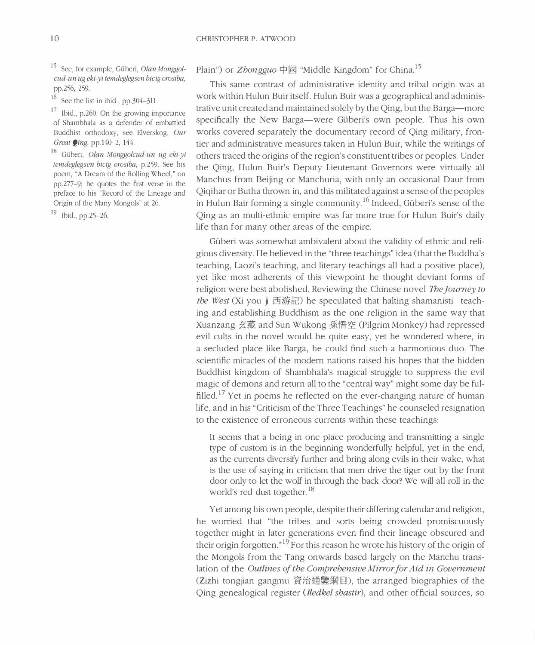<sup>15</sup> See, for example, Güberi, Olan Monggolcud-un ug eki-vi temdeglegsen bicig orosiba. pp.256, 259.

 $^{16}$  See the list in ibid., pp.304-311.

 $\frac{1}{\pi}$  Ibid., p.260. On the growing importance of Shambhala as a defender of embattled Buddhist orthodoxy, see Elverskog, Our Great  $Q$ ing, pp.140-2, 144.

<sup>10</sup> Güberi, Olan Monggolcud-un ug eki-yi temdeglegsen bicig orosiba, p.259. See his poem, "A Dream of the Rolling Wheel," on pp.277–9; he quotes the first verse in the preface to his "Record of the Lineage and Origin of the Many Mongols" at 26.

 $19$  Ibid., pp.25-26.

# Plain") or Zhongguo 中國 "Middle Kingdom" for China.<sup>15</sup>

This same contrast of administrative identity and tribal origin was at work within Hulun Buir itself. Hulun Buir was a geographical and administrative unit created and maintained solely by the Qing, but the Barga—more specifically the New Barga—were Güberi's own people. Thus his own works covered separately the documentary record of Qing military, frontier and administrative measures taken in Hulun Buir, while the writings of others traced the origins of the region's constituent tribes or peoples. Under the Qing, Hulun Buir's Deputy Lieutenant Governors were virtually all Manchus from Beijing or Manchuria, with only an occasional Daur from Qiqihar or Butha thrown in, and this militated against a sense of the peoples in Hulun Bair forming a single community.<sup>16</sup> Indeed, Güberi's sense of the Qing as an multi-ethnic empire was far more true for Hulun Buir's daily life than for many other areas of the empire.

Güberi was somewhat ambivalent about the validity of ethnic and religious diversity. He believed in the "three teachings" idea (that the Buddha's teaching, Laozi's teaching, and literary teachings all had a positive place), yet like most adherents of this viewpoint he thought deviant forms of religion were best abolished. Reviewing the Chinese novel *The Journey to* the West (Xi you ji 西游記) he speculated that halting shamanisti teaching and establishing Buddhism as the one religion in the same way that Xuanzang 玄藏 and Sun Wukong 孫悟空 (Pilgrim Monkey) had repressed evil cults in the novel would be quite easy, yet he wondered where, in a secluded place like Barga, he could find such a harmonious duo. The scientific miracles of the modern nations raised his hopes that the hidden Buddhist kingdom of Shambhala's magical struggle to suppress the evil magic of demons and return all to the "central way" might some day be fulfilled.<sup>17</sup> Yet in poems he reflected on the ever-changing nature of human life, and in his "Criticism of the Three Teachings" he counseled resignation to the existence of erroneous currents within these teachings:

It seems that a being in one place producing and transmitting a single type of custom is in the beginning wonderfully helpful, yet in the end, as the currents diversify further and bring along evils in their wake, what is the use of saying in criticism that men drive the tiger out by the front door only to let the wolf in through the back door? We will all roll in the world's red dust together.<sup>18</sup>

Yet among his own people, despite their differing calendar and religion, he worried that "the tribes and sorts being crowded promiscuously together might in later generations even find their lineage obscured and their origin forgotten."<sup>19</sup> For this reason he wrote his history of the origin of the Mongols from the Tang onwards based largely on the Manchu translation of the *Outlines of the Comprehensive Mirror for Aid in Government* (Zizhi tongjian gangmu 資治通鑒綱目), the arranged biographies of the Qing genealogical register (*Iledkel shastir*), and other official sources, so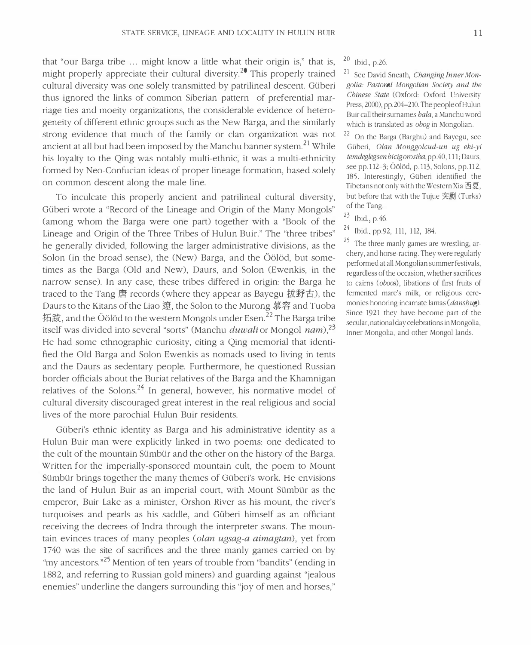that "our Barga tribe ... might know a little what their origin is," that is, might properly appreciate their cultural diversity.<sup>20</sup> This properly trained cultural diversity was one solely transmitted by patrilineal descent. Güberi thus ignored the links of common Siberian pattern of preferential marriage ties and moeity organizations, the considerable evidence of heterogeneity of different ethnic groups such as the New Barga, and the similarly strong evidence that much of the family or clan organization was not ancient at all but had been imposed by the Manchu banner system.<sup>21</sup> While his loyalty to the Qing was notably multi-ethnic, it was a multi-ethnicity formed by Neo-Confucian ideas of proper lineage formation, based solely on common descent along the male line.

To inculcate this properly ancient and patrilineal cultural diversity, Güberi wrote a "Record of the Lineage and Origin of the Many Mongols" (among whom the Barga were one part) together with a "Book of the Lineage and Origin of the Three Tribes of Hulun Buir." The "three tribes" he generally divided, following the larger administrative divisions, as the Solon (in the broad sense), the (New) Barga, and the Öölöd, but sometimes as the Barga (Old and New), Daurs, and Solon (Ewenkis, in the narrow sense). In any case, these tribes differed in origin: the Barga he traced to the Tang 唐 records (where they appear as Bayegu 拔野古), the Daurs to the Kitans of the Liao 遼, the Solon to the Murong 慕容 and Tuoba 拓跋, and the Öölöd to the western Mongols under Esen. $^{22}$  The Barga tribe itself was divided into several "sorts" (Manchu *duwali* or Mongol nam).<sup>23</sup> He had some ethnographic curiosity, citing a Qing memorial that identified the Old Barga and Solon Ewenkis as nomads used to living in tents and the Daurs as sedentary people. Furthermore, he questioned Russian border officials about the Buriat relatives of the Barga and the Khamniganrelatives of the Solons.<sup>24</sup> In general, however, his normative model of cultural diversity discouraged great interest in the real religious and social lives of the more parochial Hulun Buir residents.

Güberi's ethnic identity as Barga and his administrative identity as a Hulun Buir man were explicitly linked in two poems: one dedicated to the cult of the mountain Sümbür and the other on the history of the Barga. Written for the imperially-sponsored mountain cult, the poem to Mount Sümbür brings together the many themes of Güberi's work. He envisions the land of Hulun Buir as an imperial court, with Mount Sümbür as the emperor, Buir Lake as a minister, Orshon River as his mount, the river's turquoises and pearls as his saddle, and Güberi himself as an officiant receiving the decrees of Indra through the interpreter swans. The mountain evinces traces of many peoples (*olan ugsag-a aimagtan*), yet from 1740 was the site of sacrifices and the three manly games carried on by "my ancestors."<sup>25</sup> Mention of ten years of trouble from "bandits" (ending in 1882, and referring to Russian gold miners) and guarding against "jealous enemies" underline the dangers surrounding this "joy of men and horses,"

 $^{20}$  Ibid., p.26.

<sup>21</sup> See David Sneath, *Changing Inner Mon*golia: Pastoral Mongolian Society and the Chinese State (Oxford: Oxford University Press, 2000), pp.204–210. The people of Hulun Buir call their surnames *hala*, a Manchu word which is translated as obog in Mongolian.

22 On the Barga (Barghu) and Bayegu, see Güberi, *Olan Monggolcud-un ug eki-yi* temdeglegsen bicig orosiba, pp.40, 111; Daurs, see pp.112–3; Oölöd, p.113, Solons, pp.112, 185. Interestingly, Güberi identified the Tibetans not only with the Western Xia 西夏, but before that with the Tujue 突劂 (Turks) of the Tang.

 $^{23}$  Ibid., p.46.

<sup>24</sup> Ibid., pp.92, 111, 112, 184.

 $\sim$  The three manly games are wrestling, archery, and horse-racing. They were regularly performed at all Mongolian summer festivals, regardless of the occasion, whether sacrifices to cairns (oboos), libations of first fruits of termented mare's milk, or religious ceremonies honoring incarnate lamas (*dansbug*). Since 1921 they have become part of the secular, national day celebrations in Mongolia, Inner Mongolia, and other Mongol lands.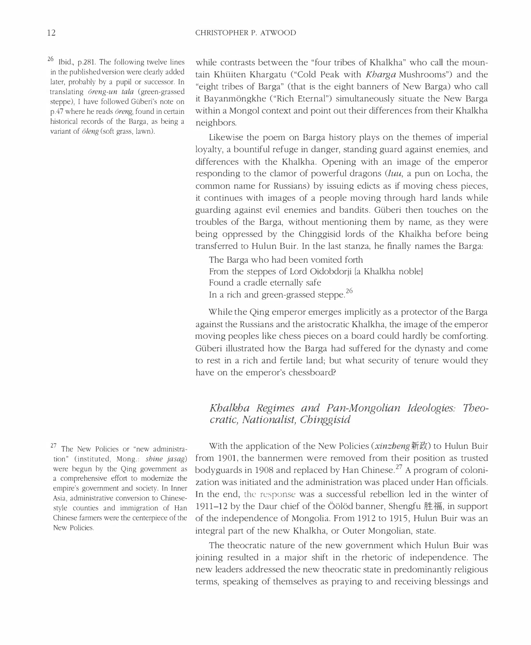<sup>26</sup> Ibid., p.281. The following twelve lines in the published version were clearly added later, probably by a pupil or successor. In translating *öreng-un tala* (green-grassed steppe), I have followed Güberi's note on p.47 where he reads *ören*g, found in certain historical records of the Barga, as being a variant of öleng (soft grass, lawn).

while contrasts between the "four tribes of Khalkha" who call the mountain Khüiten Khargatu ("Cold Peak with *Kharga* Mushrooms") and the "eight tribes of Barga" (that is the eight banners of New Barga) who call it Bayanmöngkhe ("Rich Eternal") simultaneously situate the New Barga within a Mongol context and point out their differences from their Khalkha neighbors.

Likewise the poem on Barga history plays on the themes of imperial loyalty, a bountiful refuge in danger, standing guard against enemies, and differences with the Khalkha. Opening with an image of the emperor responding to the clamor of powerful dragons (luu, a pun on Locha, the common name for Russians) by issuing edicts as if moving chess pieces, it continues with images of a people moving through hard lands while guarding against evil enemies and bandits. Güberi then touches on the troubles of the Barga, without mentioning them by name, as they were being oppressed by the Chinggisid lords of the Khalkha before being transferred to Hulun Buir. In the last stanza, he finally names the Barga:

The Barga who had been vomited forth From the steppes of Lord Oidobdorji [a Khalkha noble] Found a cradle eternally safe In a rich and green-grassed steppe.<sup>26</sup>

While the Qing emperor emerges implicitly as a protector of the Barga against the Russians and the aristocratic Khalkha, the image of the emperor moving peoples like chess pieces on a board could hardly be comforting. Güberi illustrated how the Barga had suffered for the dynasty and come to rest in a rich and fertile land; but what security of tenure would they have on the emperor's chessboard?

## Khalkha Regimes and Pan-Mongolian Ideologies: Theocratic, Nationalist, Chinggisid

<sup>2</sup>/ The New Policies or "new administration" (instituted, Mong.: *shine jasag*) were begun by the Qing government as a comprehensive effort to modernize the empire's government and society. In Inner Asia, administrative conversion to Chinesestyle counties and immigration of Han Chinese farmers were the centerpiece of the New Policies.

With the application of the New Policies (*xinzbeng*新政) to Hulun Buir from 1901, the bannermen were removed from their position as trusted bodyguards in 1908 and replaced by Han Chinese.<sup>27</sup> A program of colonization was initiated and the administration was placed under Han officials. In the end, the response was a successful rebellion led in the winter of 1911–12 by the Daur chief of the Öölöd banner, Shengfu 胜福, in support of the independence of Mongolia. From 1912 to 1915, Hulun Buir was an integral part of the new Khalkha, or Outer Mongolian, state.

The theocratic nature of the new government which Hulun Buir was joining resulted in a major shift in the rhetoric of independence. The new leaders addressed the new theocratic state in predominantly religious terms, speaking of themselves as praying to and receiving blessings and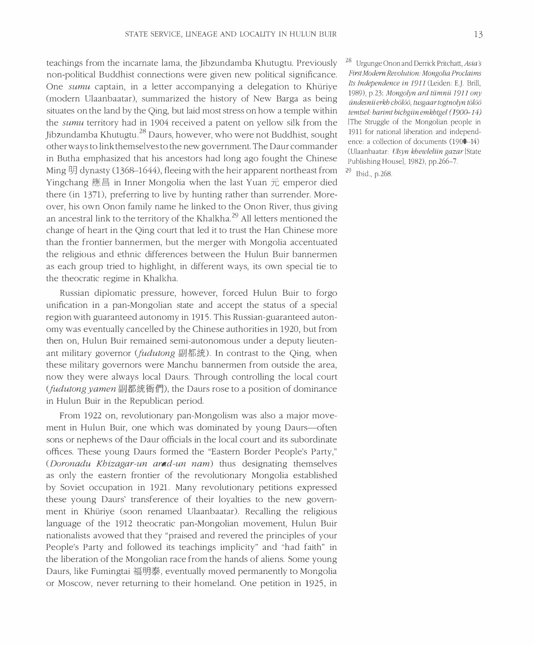teachings from the incarnate lama, the Jibzundamba Khutugtu. Previously non-political Buddhist connections were given new political significance. One sumu captain, in a letter accompanying a delegation to Khüriye (modern Ulaanbaatar), summarized the history of New Barga as being situates on the land by the Qing, but laid most stress on how a temple within the *sumu* territory had in 1904 received a patent on yellow silk from the Jibzundamba Khutugtu.<sup>28</sup> Daurs, however, who were not Buddhist, sought other ways to link themselves to the new government. The Daur commander  $\;$ in Butha emphasized that his ancestors had long ago fought the Chinese Ming 明 dynasty (1368–1644), fleeing with the heir apparent northeast from Yingchang 應昌 in Inner Mongolia when the last Yuan 元 emperor died there (in 1371), preferring to live by hunting rather than surrender. Moreover, his own Onon family name he linked to the Onon River, thus giving an ancestral link to the territory of the Khalkha.<sup>29</sup> All letters mentioned the change of heart in the Qing court that led it to trust the Han Chinese more than the frontier bannermen, but the merger with Mongolia accentuated the religious and ethnic differences between the Hulun Buir bannermen as each group tried to highlight, in different ways, its own special tie to the theocratic regime in Khalkha.

Russian diplomatic pressure, however, forced Hulun Buir to forgo unification in a pan-Mongolian state and accept the status of a special region with guaranteed autonomy in 1915. This Russian-guaranteed autonomy was eventually cancelled by the Chinese authorities in 1920, but from then on, Hulun Buir remained semi-autonomous under a deputy lieutenant military governor (*fudutong* 副都統). In contrast to the Qing, when these military governors were Manchu bannermen from outside the area, now they were always local Daurs. Through controlling the local court (*fudutong yamen* 副都統衙們), the Daurs rose to a position of dominance in Hulun Buir in the Republican period.

From 1922 on, revolutionary pan-Mongolism was also a major movement in Hulun Buir, one which was dominated by young Daurs—often sons or nephews of the Daur officials in the local court and its subordinate offices. These young Daurs formed the "Eastern Border People's Party," (*Doronadu Khizagar-un arad-un nam*) thus designating themselves as only the eastern frontier of the revolutionary Mongolia established by Soviet occupation in 1921. Many revolutionary petitions expressed these young Daurs' transference of their loyalties to the new government in Khüriye (soon renamed Ulaanbaatar). Recalling the religious language of the 1912 theocratic pan-Mongolian movement, Hulun Buir nationalists avowed that they "praised and revered the principles of your People's Party and followed its teachings implicity" and "had faith" in the liberation of the Mongolian race from the hands of aliens. Some young Daurs, like Fumingtai 福明泰, eventually moved permanently to Mongolia or Moscow, never returning to their homeland. One petition in 1925, in <sup>28</sup> Urgunge Onon and Derrick Pritchatt, Asia's First Modern Revolution: Mongolia Proclaims Its Independence in 1911 (Leiden: E.J. Brill, 1989), p.23; Mongolyn ard tümnii 1911 ony ündesnii erkh chölöö, tusgaar togtnolyn tölöö temtsel: barimt bichgiin emkhtgel (1900–14) l'The Struggle of the Mongolian people in 1911 for national liberation and independence: a collection of documents (1900–14) (Ulaanbaatar: *Ulsyn khewleliin gazar* [State] Publishing House], 1982), pp.266–7.

 $^{29}$  Ibid., p.268.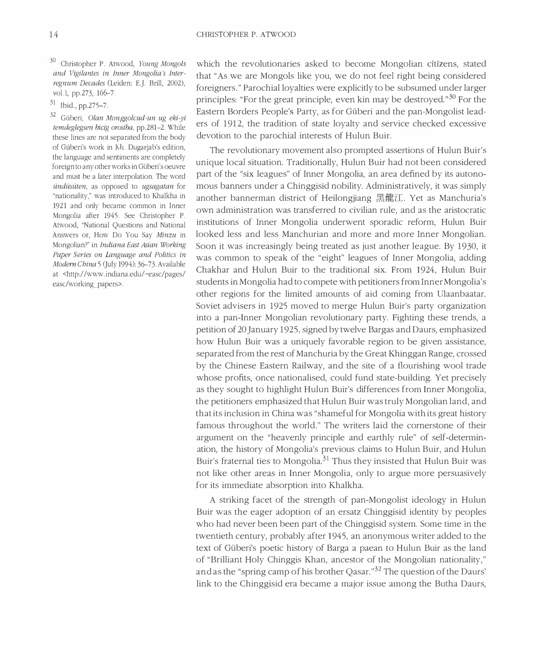- <sup>30</sup> Christopher P. Atwood, Young Mongols and Vigilantes in Inner Mongolia's Interregnum Decades (Leiden: E.J. Brill, 2002), vol.1, pp.273, 166-7.
- $31$  Ibid., pp.275-7.

32 Güberi, Olan Monggolcud-un ug eki-yi temdeglegsen bicig orosiba, pp.281-2. While these lines are not separated from the body of Güberi's work in Kh. Dugarjab's edition, the language and sentiments are completely foreign to any other works in Güberi's oeuvre and must be a later interpolation. The word ündüsüten, as opposed to ugsagatan for "nationality," was introduced to Khalkha in 1921 and only became common in Inner Mongolia after 1945. See Christopher P. Atwood, "National Questions and National Answers or, How Do You Say Minzu in Mongolian?" in Indiana East Asian Working Paper Series on Language and Politics in Modern China 5 (July 1994): 36-73. Available at <http://www.indiana.edu/~easc/pages/ easc/working papers>.

which the revolutionaries asked to become Mongolian citizens, stated that "As we are Mongols like you, we do not feel right being considered foreigners." Parochial lovalties were explicitly to be subsumed under larger principles: "For the great principle, even kin may be destroyed."<sup>30</sup> For the Eastern Borders People's Party, as for Güberi and the pan-Mongolist leaders of 1912, the tradition of state loyalty and service checked excessive devotion to the parochial interests of Hulun Buir.

The revolutionary movement also prompted assertions of Hulun Buir's unique local situation. Traditionally, Hulun Buir had not been considered part of the "six leagues" of Inner Mongolia, an area defined by its autonomous banners under a Chinggisid nobility. Administratively, it was simply another bannerman district of Heilongjiang 黑龍江. Yet as Manchuria's own administration was transferred to civilian rule, and as the aristocratic institutions of Inner Mongolia underwent sporadic reform, Hulun Buir looked less and less Manchurian and more and more Inner Mongolian. Soon it was increasingly being treated as just another league. By 1930, it was common to speak of the "eight" leagues of Inner Mongolia, adding Chakhar and Hulun Buir to the traditional six. From 1924, Hulun Buir students in Mongolia had to compete with petitioners from Inner Mongolia's other regions for the limited amounts of aid coming from Ulaanbaatar. Soviet advisers in 1925 moved to merge Hulun Buir's party organization into a pan-Inner Mongolian revolutionary party. Fighting these trends, a petition of 20 January 1925, signed by twelve Bargas and Daurs, emphasized how Hulun Buir was a uniquely favorable region to be given assistance, separated from the rest of Manchuria by the Great Khinggan Range, crossed by the Chinese Eastern Railway, and the site of a flourishing wool trade whose profits, once nationalised, could fund state-building. Yet precisely as they sought to highlight Hulun Buir's differences from Inner Mongolia, the petitioners emphasized that Hulun Buir was truly Mongolian land, and that its inclusion in China was "shameful for Mongolia with its great history famous throughout the world." The writers laid the cornerstone of their argument on the "heavenly principle and earthly rule" of self-determination, the history of Mongolia's previous claims to Hulun Buir, and Hulun Buir's fraternal ties to Mongolia.<sup>31</sup> Thus they insisted that Hulun Buir was not like other areas in Inner Mongolia, only to argue more persuasively for its immediate absorption into Khalkha.

A striking facet of the strength of pan-Mongolist ideology in Hulun Buir was the eager adoption of an ersatz Chinggisid identity by peoples who had never been been part of the Chinggisid system. Some time in the twentieth century, probably after 1945, an anonymous writer added to the text of Güberi's poetic history of Barga a paean to Hulun Buir as the land of "Brilliant Holy Chinggis Khan, ancestor of the Mongolian nationality," and as the "spring camp of his brother Qasar."<sup>32</sup> The question of the Daurs' link to the Chinggisid era became a major issue among the Butha Daurs,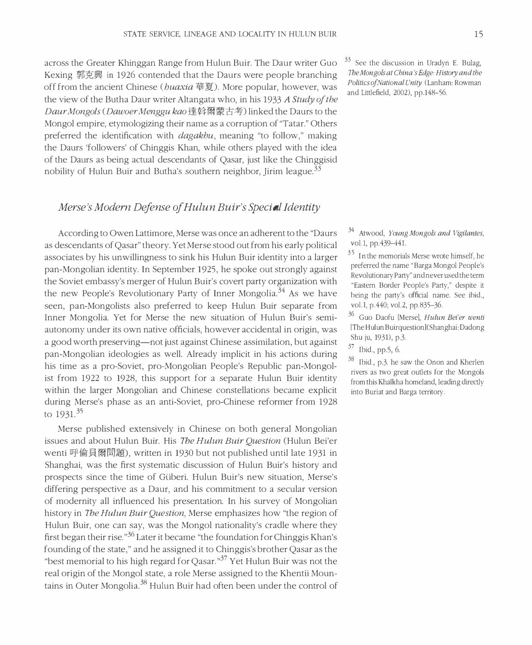across the Greater Khinggan Range from Hulun Buir. The Daur writer Guo Kexing 郭克興 in 1926 contended that the Daurs were people branching off from the ancient Chinese (*buaxia* 華夏). More popular, however, was the view of the Butha Daur writer Altangata who, in his 1933 *A Study of the* Daur Mongols (Dawoer Menggu kao 達斡爾蒙古考) linked the Daurs to the Mongol empire, etymologizing their name as a corruption of "Tatar." Others preferred the identification with *dagakbu*, meaning "to follow," making the Daurs 'followers' of Chinggis Khan, while others played with the idea of the Daurs as being actual descendants of Qasar, just like the Chinggisid nobility of Hulun Buir and Butha's southern neighbor, Jirim league.<sup>33</sup>

#### Merse's Modern Defense of Hulun Buir's Speci**a**l Identity

According to Owen Lattimore, Merse was once an adherent to the "Daurs" as descendants of Qasar" theory. Yet Merse stood out from his early political associates by his unwillingness to sink his Hulun Buir identity into a larger pan-Mongolian identity. In September 1925, he spoke out strongly against the Soviet embassy's merger of Hulun Buir's covert party organization with the new People's Revolutionary Party of Inner Mongolia.<sup>34</sup> As we have seen, pan-Mongolists also preferred to keep Hulun Buir separate from Inner Mongolia. Yet for Merse the new situation of Hulun Buir's semiautonomy under its own native officials, however accidental in origin, was a good worth preserving—not just against Chinese assimilation, but against pan-Mongolian ideologies as well. Already implicit in his actions during his time as a pro-Soviet, pro-Mongolian People's Republic pan-Mongolist from 1922 to 1928, this support for a separate Hulun Buir identity within the larger Mongolian and Chinese constellations became explicit during Merse's phase as an anti-Soviet, pro-Chinese reformer from 1928 to  $1931^{35}$ 

Merse published extensively in Chinese on both general Mongolian issues and about Hulun Buir. His *The Hulun Buir Question* (Hulun Bei'er wenti 呼倫貝爾問題), written in 1930 but not published until late 1931 in Shanghai, was the first systematic discussion of Hulun Buir's history and prospects since the time of Güberi. Hulun Buir's new situation, Merse's differing perspective as a Daur, and his commitment to a secular version of modernity all influenced his presentation. In his survey of Mongolian history in *The Hulun Buir Question*, Merse emphasizes how "the region of Hulun Buir, one can say, was the Mongol nationality's cradle where they first began their rise."<sup>36</sup> Later it became "the foundation for Chinggis Khan's founding of the state," and he assigned it to Chinggis's brother Qasar as the "best memorial to his high regard for Qasar."<sup>37</sup> Yet Hulun Buir was not the real origin of the Mongol state, a role Merse assigned to the Khentii Mountains in Outer Mongolia.<sup>38</sup> Hulun Buir had often been under the control of

 $33$  See the discussion in Uradyn E. Bulag. The Mongols at China's Edge: History and the Politics of National Unity (Lanham: Rowman and Littlefield, 2002), pp.148-56.

 $34$  Atwood, Young Mongols and Vigilantes, vol.1, pp.439-441.

 $35$  In the memorials Merse wrote himself, he preferred the name "Barga Mongol People's Revolutionary Party" and never used the term "Eastern Border People's Party," despite it being the party's official name. See ibid., vol.1, p.440; vol.2, pp.835-36.

36 Guo Daofu [Merse], Hulun Bei'er wenti [The Hulun Buirquestion](Shanghai: Dadong Shu ju, 1931), p.3.

 $37$  Ibid., pp.5, 6.

 $38$  Ibid., p.3. he saw the Onon and Kherlen rivers as two great outlets for the Mongols from this Khalkha homeland, leading directly into Buriat and Barga territory.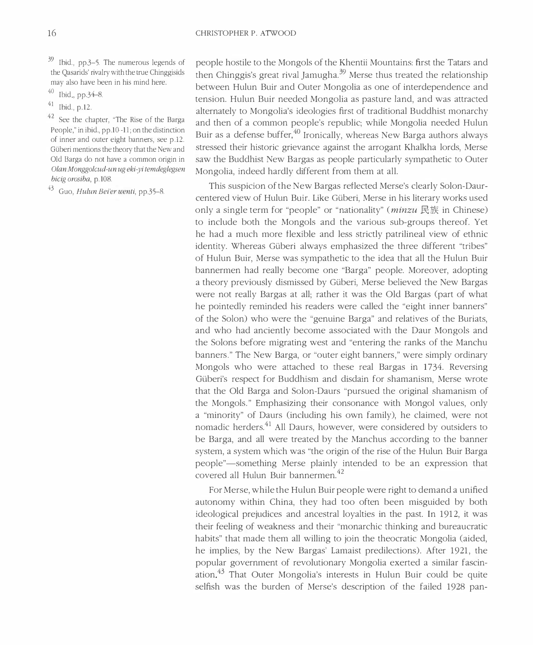$39$  Ibid., pp.3–5. The numerous legends of the Qasarids' rivalry with the true Chinggisids may also have been in his mind here.

- $40$  Ibid., pp.34-8
- $41$  Ibid., p.12.

<sup>42</sup> See the chapter, "The Rise of the Barga People," in ibid., pp.10-11; on the distinction of inner and outer eight banners, see p.12. Güberi mentions the theory that the New and Old Barga do not have a common origin in Olan Monggolcud-un ug eki-yi temdeglegsen bicig orosiba, p.108.

43 Guo, Hulun Bei'er wenti, pp.35-8.

people hostile to the Mongols of the Khentii Mountains: first the Tatars and then Chinggis's great rival Jamugha.<sup>39</sup> Merse thus treated the relationship between Hulun Buir and Outer Mongolia as one of interdependence and tension. Hulun Buir needed Mongolia as pasture land, and was attracted alternately to Mongolia's ideologies first of traditional Buddhist monarchy and then of a common people's republic; while Mongolia needed Hulun Buir as a defense buffer.<sup>40</sup> Ironically, whereas New Barga authors always stressed their historic grievance against the arrogant Khalkha lords, Merse saw the Buddhist New Bargas as people particularly sympathetic to Outer Mongolia, indeed hardly different from them at all.

This suspicion of the New Bargas reflected Merse's clearly Solon-Daurcentered view of Hulun Buir. Like Güberi, Merse in his literary works used only a single term for "people" or "nationality" (*minzu* 民族 in Chinese) to include both the Mongols and the various sub-groups thereof. Yet he had a much more flexible and less strictly patrilineal view of ethnic identity. Whereas Güberi always emphasized the three different "tribes" of Hulun Buir, Merse was sympathetic to the idea that all the Hulun Buir bannermen had really become one "Barga" people. Moreover, adopting a theory previously dismissed by Güberi, Merse believed the New Bargas were not really Bargas at all; rather it was the Old Bargas (part of what he pointedly reminded his readers were called the "eight inner banners" of the Solon) who were the "genuine Barga" and relatives of the Buriats, and who had anciently become associated with the Daur Mongols and the Solons before migrating west and "entering the ranks of the Manchu banners." The New Barga, or "outer eight banners," were simply ordinary Mongols who were attached to these real Bargas in 1734. Reversing Güberi's respect for Buddhism and disdain for shamanism, Merse wrote that the Old Barga and Solon-Daurs "pursued the original shamanism of the Mongols." Emphasizing their consonance with Mongol values, only a "minority" of Daurs (including his own family), he claimed, were not nomadic herders.<sup>41</sup> All Daurs, however, were considered by outsiders to be Barga, and all were treated by the Manchus according to the banner system, a system which was "the origin of the rise of the Hulun Buir Barga people"—something Merse plainly intended to be an expression that covered all Hulun Buir bannermen.<sup>42</sup>

For Merse, while the Hulun Buir people were right to demand a unified autonomy within China, they had too often been misguided by both ideological prejudices and ancestral loyalties in the past. In 1912, it was their feeling of weakness and their "monarchic thinking and bureaucratic habits" that made them all willing to join the theocratic Mongolia (aided, he implies, by the New Bargas' Lamaist predilections). After 1921, the popular government of revolutionary Mongolia exerted a similar fascination.<sup>43</sup> That Outer Mongolia's interests in Hulun Buir could be quite selfish was the burden of Merse's description of the failed 1928 pan-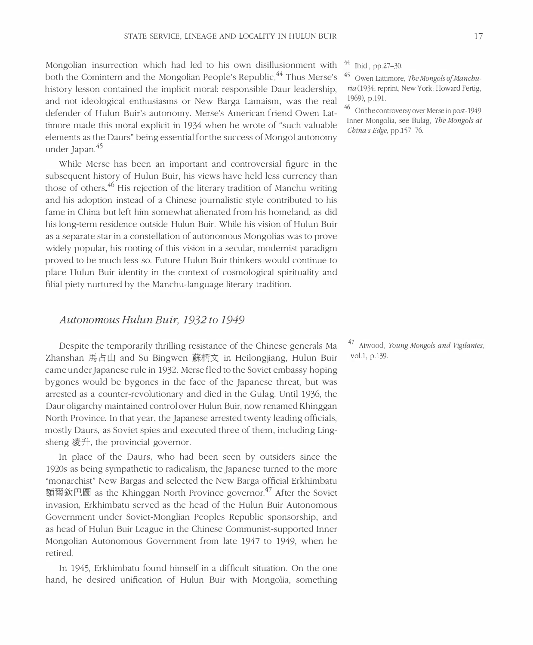Mongolian insurrection which had led to his own disillusionment with both the Comintern and the Mongolian People's Republic.<sup>44</sup> Thus Merse's history lesson contained the implicit moral: responsible Daur leadership, and not ideological enthusiasms or New Barga Lamaism, was the real defender of Hulun Buir's autonomy. Merse's American friend Owen Lattimore made this moral explicit in 1934 when he wrote of "such valuable" elements as the Daurs" being essential for the success of Mongol autonomy under Japan.<sup>45</sup>

While Merse has been an important and controversial figure in the subsequent history of Hulun Buir, his views have held less currency than those of others.<sup>46</sup> His rejection of the literary tradition of Manchu writing and his adoption instead of a Chinese journalistic style contributed to his fame in China but left him somewhat alienated from his homeland, as did his long-term residence outside Hulun Buir. While his vision of Hulun Buir as a separate star in a constellation of autonomous Mongolias was to prove widely popular, his rooting of this vision in a secular, modernist paradigm proved to be much less so. Future Hulun Buir thinkers would continue to place Hulun Buir identity in the context of cosmological spirituality and filial piety nurtured by the Manchu-language literary tradition.

#### Autonomous Hulun Buir, 1932 to 1949

Despite the temporarily thrilling resistance of the Chinese generals Ma Zhanshan 馬占山 and Su Bingwen 蘇柄文 in Heilongjiang, Hulun Buir came under Japanese rule in 1932. Merse fled to the Soviet embassy hoping bygones would be bygones in the face of the Japanese threat, but was arrested as a counter-revolutionary and died in the Gulag. Until 1936, the Daur oligarchy maintained control over Hulun Buir, now renamed Khinggan North Province. In that year, the Japanese arrested twenty leading officials, mostly Daurs, as Soviet spies and executed three of them, including Lingsheng  $\circ$   $\circ$   $\uparrow$ , the provincial governor.

In place of the Daurs, who had been seen by outsiders since the 1920s as being sympathetic to radicalism, the Japanese turned to the more "monarchist" New Bargas and selected the New Barga official Erkhimbatu 額爾欽巴圖 as the Khinggan North Province governor.<sup>47</sup> After the Soviet invasion, Erkhimbatu served as the head of the Hulun Buir Autonomous Government under Soviet-Monglian Peoples Republic sponsorship, and as head of Hulun Buir League in the Chinese Communist-supported Inner Mongolian Autonomous Government from late 1947 to 1949, when he retired.

In 1945, Erkhimbatu found himself in a difficult situation. On the one hand, he desired unification of Hulun Buir with Mongolia, something Ibid., pp.27-30.

 $\mathcal{L}$  Owen Lattimore, The Mongols of Manchuria(1934; reprint, New York: Howard Fertig, 1969), p.191.

<sup>46</sup> On the controversy over Merse in post-1949 Inner Mongolia, see Bulag, *The Mongols at* China's Edge, pp.157-76.

47 Atwood, Young Mongols and Vigilantes, vol.1, p.139.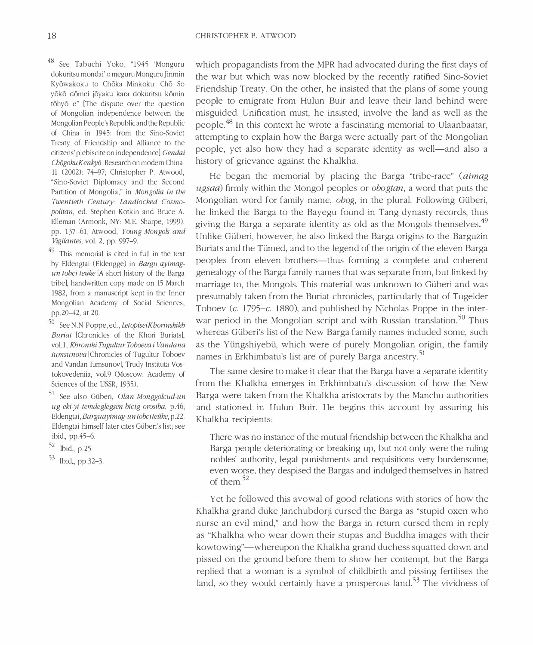<sup>48</sup> See Tabuchi Yoko, "1945 'Monguru dokuritsu mondai' o meguru Monguru Jinmin Kyōwakoku to Chōka Minkoku: Chō So yōkō dōmei jōyaku kara dokuritsu kōmin tōhyō e" [The dispute over the question of Mongolian independence between the Mongolian People's Republic and the Republic of China in 1945: from the Sino-Soviet Treaty of Friendship and Alliance to the citizens' plebiscite on independence] Gendai ChōgokuKenkyō Research on modern China 11 (2002): 74-97; Christopher P. Atwood, "Sino-Soviet Diplomacy and the Second Partition of Mongolia," in Mongolia in the Twentieth Century: Landlocked Cosmopolitan, ed. Stephen Kotkin and Bruce A. Elleman (Armonk, NY: M.E. Sharpe, 1999), pp. 137--61; Atwood, Young Mongols and Vigilantes, vol. 2, pp. 997-9.

<sup>49</sup> This memorial is cited in full in the text by Eldengtai (Eldengge) in Bargu ayimagun tobci teüke [A short history of the Barga tribe], handwritten copy made on 15 March 1982, from a manuscript kept in the Inner Mongolian Academy of Social Sciences, pp.20-42, at 20.

<sup>50</sup> See N.N. Poppe, ed., LetopiseiK horinskikh Buriat [Chronicles of the Khori Buriats], vol.1, Khroniki Tugultur Toboeva i Vandana Iumsunova [Chronicles of Tugultur Toboev and Vandan Iumsunov], Trudy Instituta Vostokovedeniia, vol.9 (Moscow: Academy of Sciences of the USSR, 1935).

<sup>51</sup> See also Güberi, Olan Monggolcud-un ug eki-yi temdeglegsen bicig orosiba, p.46; Eldengtai, Barguayimag-un tobciteüke, p.22. Eldengtai himself later cites Güberi's list; see ibid., pp. 45-6.

<sup>52</sup> Ibid., p.25.

 $53$  Ibid., pp.32-3.

which propagandists from the MPR had advocated during the first days of the war but which was now blocked by the recently ratified Sino-Soviet Friendship Treaty. On the other, he insisted that the plans of some young people to emigrate from Hulun Buir and leave their land behind were misguided. Unification must, he insisted, involve the land as well as the people.<sup>48</sup> In this context he wrote a fascinating memorial to Ulaanbaatar, attempting to explain how the Barga were actually part of the Mongolian people, yet also how they had a separate identity as well—and also a history of grievance against the Khalkha.

He began the memorial by placing the Barga "tribe-race" (aimag ugsaa) firmly within the Mongol peoples or obogtan, a word that puts the Mongolian word for family name, obog, in the plural. Following Güberi, he linked the Barga to the Bayegu found in Tang dynasty records, thus giving the Barga a separate identity as old as the Mongols themselves.<sup>49</sup> Unlike Güberi, however, he also linked the Barga origins to the Barguzin Buriats and the Tümed, and to the legend of the origin of the eleven Barga peoples from eleven brothers—thus forming a complete and coherent genealogy of the Barga family names that was separate from, but linked by marriage to, the Mongols. This material was unknown to Güberi and was presumably taken from the Buriat chronicles, particularly that of Tugelder Toboev (c. 1795-c. 1880), and published by Nicholas Poppe in the interwar period in the Mongolian script and with Russian translation.<sup>50</sup> Thus whereas Güberi's list of the New Barga family names included some, such as the Yüngshiyebü, which were of purely Mongolian origin, the family names in Erkhimbatu's list are of purely Barga ancestry.<sup>51</sup>

The same desire to make it clear that the Barga have a separate identity from the Khalkha emerges in Erkhimbatu's discussion of how the New Barga were taken from the Khalkha aristocrats by the Manchu authorities and stationed in Hulun Buir. He begins this account by assuring his Khalkha recipients:

There was no instance of the mutual friendship between the Khalkha and Barga people deteriorating or breaking up, but not only were the ruling nobles' authority, legal punishments and requisitions very burdensome; even worse, they despised the Bargas and indulged themselves in hatred of them  $52$ 

Yet he followed this avowal of good relations with stories of how the Khalkha grand duke Janchubdorji cursed the Barga as "stupid oxen who nurse an evil mind," and how the Barga in return cursed them in reply as "Khalkha who wear down their stupas and Buddha images with their kowtowing"—whereupon the Khalkha grand duchess squatted down and pissed on the ground before them to show her contempt, but the Barga replied that a woman is a symbol of childbirth and pissing fertilises the land, so they would certainly have a prosperous land.<sup>53</sup> The vividness of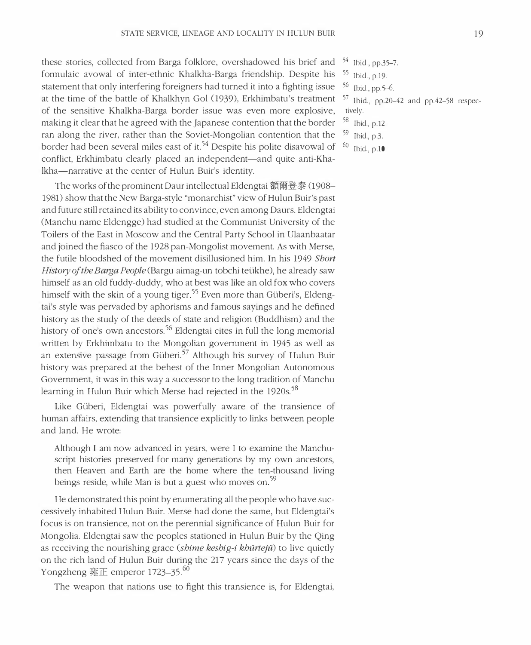these stories, collected from Barga folklore, overshadowed his brief and <sup>54</sup> Ibid., pp.35-7. formulaic avowal of inter-ethnic Khalkha-Barga friendship. Despite his statement that only interfering foreigners had turned it into a fighting issue at the time of the battle of Khalkhyn Gol (1939), Erkhimbatu's treatment 57 of the sensitive Khalkha-Barga border issue was even more explosive, making it clear that he agreed with the Japanese contention that the border ran along the river, rather than the Soviet-Mongolian contention that the border had been several miles east of it.<sup>54</sup> Despite his polite disavowal of <sup>60</sup> conflict, Erkhimbatu clearly placed an independent—and quite anti-Khalkha-narrative at the center of Hulun Buir's identity.

The works of the prominent Daur intellectual Eldengtai 額爾登泰 (1908– 1981) show that the New Barga-style "monarchist" view of Hulun Buir's past and future still retained its ability to convince, even among Daurs. Eldengtai (Manchu name Eldengge) had studied at the Communist University of the Toilers of the East in Moscow and the Central Party School in Ulaanbaatar and joined the fiasco of the 1928 pan-Mongolist movement. As with Merse, the futile bloodshed of the movement disillusioned him. In his 1949 Short History of the Barga People (Bargu aimag-un tobchi teükhe), he already saw himself as an old fuddy-duddy, who at best was like an old fox who covers himself with the skin of a young tiger.<sup>55</sup> Even more than Güberi's, Eldengtai's style was pervaded by aphorisms and famous sayings and he defined history as the study of the deeds of state and religion (Buddhism) and the history of one's own ancestors.<sup>56</sup> Eldengtai cites in full the long memorial written by Erkhimbatu to the Mongolian government in 1945 as well as an extensive passage from Güberi.<sup>57</sup> Although his survey of Hulun Buir history was prepared at the behest of the Inner Mongolian Autonomous Government, it was in this way a successor to the long tradition of Manchu learning in Hulun Buir which Merse had rejected in the 1920s.<sup>58</sup>

Like Güberi, Eldengtai was powerfully aware of the transience of human affairs, extending that transience explicitly to links between people and land. He wrote:

Although I am now advanced in years, were I to examine the Manchuscript histories preserved for many generations by my own ancestors, then Heaven and Earth are the home where the ten-thousand living beings reside, while Man is but a guest who moves on.<sup>59</sup>

He demonstrated this point by enumerating all the people who have successively inhabited Hulun Buir. Merse had done the same, but Eldengtai's focus is on transience, not on the perennial significance of Hulun Buir for Mongolia. Eldengtai saw the peoples stationed in Hulun Buir by the Qing as receiving the nourishing grace (shime keshig-i khürtejü) to live quietly on the rich land of Hulun Buir during the 217 years since the days of the Yongzheng 雍正 emperor 1723-35.<sup>60</sup>

The weapon that nations use to fight this transience is, for Eldengtai,

- 
- $55$  Ibid., p.19.
- 56 Ibid.,  $p_0$ ,  $5-6$ .

Ibid., pp.20-42 and pp.42-58 respectively.

- 58 Ibid., p.12.
- 59 Ibid. $p.3$ .
- Ibid., p.10.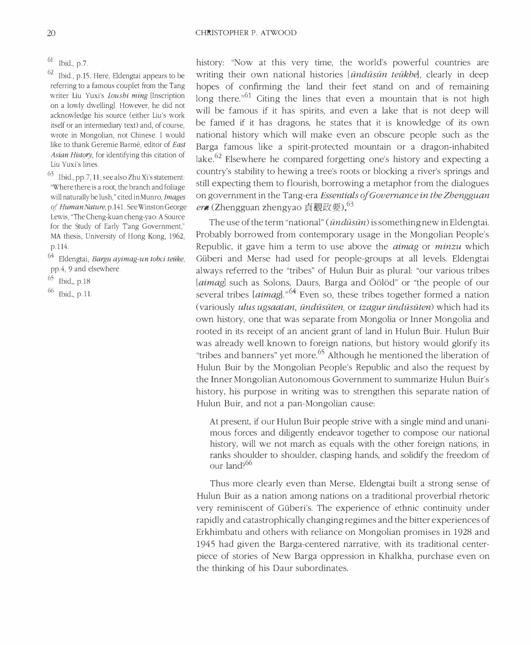$61$  Ibid., p.7.

62 Ibid., p.15. Here, Eldengtai appears to be referring to a famous couplet from the Tang writer Liu Yuxi's *Loushi ming* [Inscription on a lowly dwelling]. However, he did not acknowledge his source (either Liu's work itself or an intermediary text) and, of course, wrote in Mongolian, not Chinese. I would like to thank Geremie Barmé, editor of East Asian History, for identifying this citation of Liu Yuxi's lines.

 $63$  Ibid., pp.7, 11; see also Zhu Xi's statement: "Where there is a root, the branch and foliage will naturally be lush," cited in Munro, Images of Human Nature, p.141. See Winston George Lewis, "The Cheng-kuan cheng-yao: A Source for the Study of Early Tang Government," MA thesis, University of Hong Kong, 1962, p.114.

<sup>64</sup> Eldengtai, Bargu ayimag-un tobci teüke, pp.4, 9 and elsewhere.

- $^{65}$  Ibid, p.18
- 66 Ibid., p.11.

history: "Now at this very time, the world's powerful countries are writing their own national histories [ündüsün teükbe], clearly in deep hopes of confirming the land their feet stand on and of remaining long there.<sup> $n61$ </sup> Citing the lines that even a mountain that is not high will be famous if it has spirits, and even a lake that is not deep will be famed if it has dragons, he states that it is knowledge of its own national history which will make even an obscure people such as the Barga famous like a spirit-protected mountain or a dragon-inhabited lake.<sup>62</sup> Elsewhere he compared forgetting one's history and expecting a country's stability to hewing a tree's roots or blocking a river's springs and still expecting them to flourish, borrowing a metaphor from the dialogues on government in the Tang-era Essentials of Governance in the Zhengguan era (Zhengguan zhengyao 貞觀政要)<sup>03</sup>

The use of the term "national" (*ündüsün*) is something new in Eldengtai. Probably borrowed from contemporary usage in the Mongolian People's Republic, it gave him a term to use above the *aimag* or *minzu* which Güberi and Merse had used for people-groups at all levels. Eldengtai always referred to the "tribes" of Hulun Buir as plural: "our various tribes [aimag] such as Solons, Daurs, Barga and Öölöd" or "the people of our several tribes [aimag]."<sup>64</sup> Even so, these tribes together formed a nation (variously ulus ugsaatan, ündüsüten, or izagur ündüsüten) which had its own history, one that was separate from Mongolia or Inner Mongolia and rooted in its receipt of an ancient grant of land in Hulun Buir. Hulun Buir was already well known to foreign nations, but history would glorify its "tribes and banners" yet more.<sup>65</sup> Although he mentioned the liberation of Hulun Buir by the Mongolian People's Republic and also the request by the Inner Mongolian Autonomous Government to summarize Hulun Buir's history, his purpose in writing was to strengthen this separate nation of Hulun Buir, and not a pan-Mongolian cause:

At present, if our Hulun Buir people strive with a single mind and unanimous forces and diligently endeavor together to compose our national history, will we not march as equals with the other foreign nations, in ranks shoulder to shoulder, clasping hands, and solidify the freedom of our land?<sup>66</sup>

Thus more clearly even than Merse, Eldengtai built a strong sense of Hulun Buir as a nation among nations on a traditional proverbial rhetoric very reminiscent of Güberi's. The experience of ethnic continuity under rapidly and catastrophically changing regimes and the bitter experiences of Erkhimbatu and others with reliance on Mongolian promises in 1928 and 1945 had given the Barga-centered narrative, with its traditional centerpiece of stories of New Barga oppression in Khalkha, purchase even on the thinking of his Daur subordinates.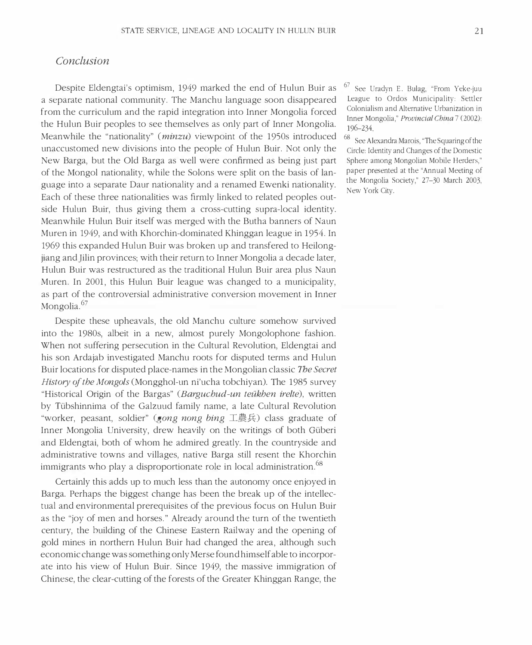## Conclusion

Despite Eldengtai's optimism, 1949 marked the end of Hulun Buir as a separate national community. The Manchu language soon disappeared from the curriculum and the rapid integration into Inner Mongolia forced the Hulun Buir peoples to see themselves as only part of Inner Mongolia. Meanwhile the "nationality" (*minzu*) viewpoint of the 1950s introduced unaccustomed new divisions into the people of Hulun Buir. Not only the New Barga, but the Old Barga as well were confirmed as being just part of the Mongol nationality, while the Solons were split on the basis of language into a separate Daur nationality and a renamed Ewenki nationality. Each of these three nationalities was firmly linked to related peoples outside Hulun Buir, thus giving them a cross-cutting supra-local identity. Meanwhile Hulun Buir itself was merged with the Butha banners of Naun Muren in 1949, and with Khorchin-dominated Khinggan league in 1954. In 1969 this expanded Hulun Buir was broken up and transfered to Heilongjiang and Jilin provinces; with their return to Inner Mongolia a decade later, Hulun Buir was restructured as the traditional Hulun Buir area plus Naun-Muren. In 2001, this Hulun Buir league was changed to a municipality, as part of the controversial administrative conversion movement in Inner Mongolia.<sup>67</sup>

Despite these upheavals, the old Manchu culture somehow survived into the 1980s, albeit in a new, almost purely Mongolophone fashion. When not suffering persecution in the Cultural Revolution, Eldengtai and his son Ardajab investigated Manchu roots for disputed terms and Hulun Buir locations for disputed place-names in the Mongolian classic *The Secret History of the Mongols* (Mongghol-un ni'ucha tobchiyan). The 1985 survey "Historical Origin of the Bargas" (*Barguchud-un teükhen irelte*), written by Tübshinnima of the Galzuud family name, a late Cultural Revolution "worker, peasant, soldier" (*gong nong bing* 工農兵) class graduate of Inner Mongolia University, drew heavily on the writings of both Güberi and Eldengtai, both of whom he admired greatly. In the countryside and administrative towns and villages, native Barga still resent the Khorchin immigrants who play a disproportionate role in local administration.<sup>68</sup>

Certainly this adds up to much less than the autonomy once enjoyed in Barga. Perhaps the biggest change has been the break up of the intellectual and environmental prerequisites of the previous focus on Hulun Buir as the "joy of men and horses." Already around the turn of the twentieth century, the building of the Chinese Eastern Railway and the opening of gold mines in northern Hulun Buir had changed the area, although such economic change was something only Merse found himself able to incorporate into his view of Hulun Buir. Since 1949, the massive immigration of Chinese, the clear-cutting of the forests of the Greater Khinggan Range, the

67 See Uradyn E. Bulag, "From Yeke-juu League to Ordos Municipality: Settler Colonialism and Alternative Urbanization in Inner Mongolia," Provincial China 7 (2002):  $196 - 234.$ 

 $68$  See Alexandra Marois, "The Squaring of the Circle: Identity and Changes of the Domestic Sphere among Mongolian Mobile Herders," paper presented at the "Annual Meeting of the Mongolia Society," 27-30 March 2003, New York City.